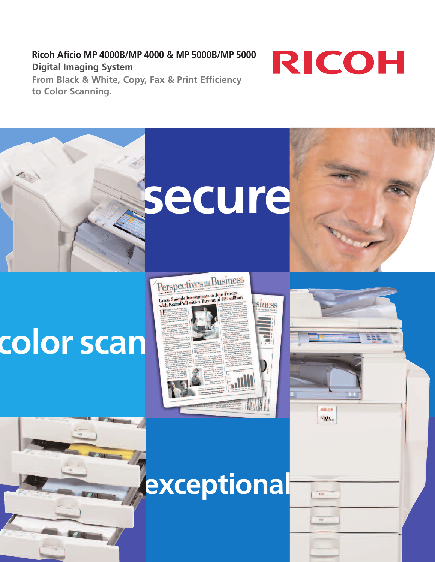**Ricoh Aficio MP 4000B/MP 4000 & MP 5000B/MP 5000 Digital Imaging System From Black & White, Copy, Fax & Print Efficiency to Color Scanning.** 



**REILEVH** Alicio



# **color scan**





**exceptional**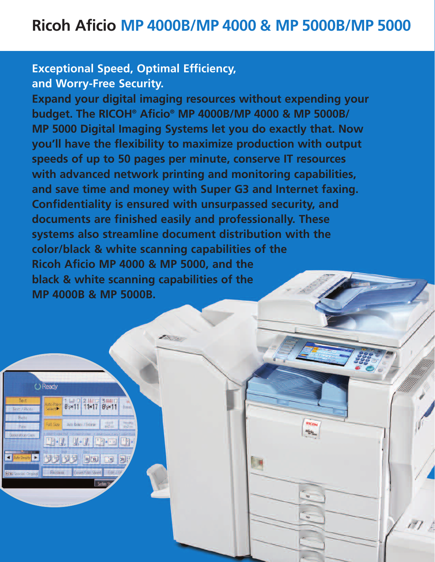# **Exceptional Speed, Optimal Efficiency, and Worry-Free Security.**

**Expand your digital imaging resources without expending your budget. The RICOH® Aficio® MP 4000B/MP 4000 & MP 5000B/ MP 5000 Digital Imaging Systems let you do exactly that. Now you'll have the flexibility to maximize production with output speeds of up to 50 pages per minute, conserve IT resources with advanced network printing and monitoring capabilities, and save time and money with Super G3 and Internet faxing. Confidentiality is ensured with unsurpassed security, and documents are finished easily and professionally. These systems also streamline document distribution with the color/black & white scanning capabilities of the Ricoh Aficio MP 4000 & MP 5000, and the black & white scanning capabilities of the MP 4000B & MP 5000B.**

Ricos Alicio

**DR** 

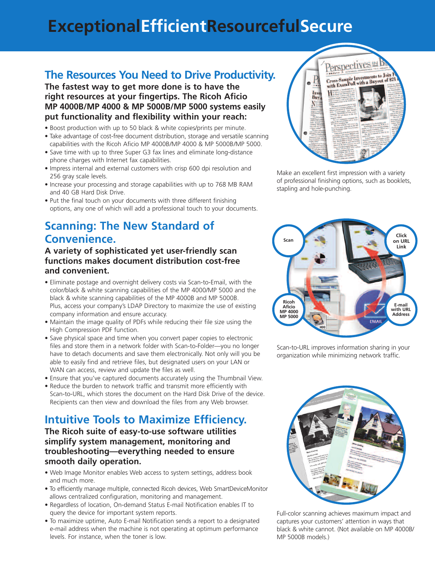# **ExceptionalEfficientResourcefulSecure**

## **The Resources You Need to Drive Productivity.**

**The fastest way to get more done is to have the right resources at your fingertips. The Ricoh Aficio MP 4000B/MP 4000 & MP 5000B/MP 5000 systems easily put functionality and flexibility within your reach:**

- Boost production with up to 50 black & white copies/prints per minute.
- Take advantage of cost-free document distribution, storage and versatile scanning capabilities with the Ricoh Aficio MP 4000B/MP 4000 & MP 5000B/MP 5000.
- Save time with up to three Super G3 fax lines and eliminate long-distance phone charges with Internet fax capabilities.
- Impress internal and external customers with crisp 600 dpi resolution and 256 gray scale levels.
- Increase your processing and storage capabilities with up to 768 MB RAM and 40 GB Hard Disk Drive.
- Put the final touch on your documents with three different finishing options, any one of which will add a professional touch to your documents.

# **Scanning: The New Standard of Convenience.**

#### **A variety of sophisticated yet user-friendly scan functions makes document distribution cost-free and convenient.**

- Eliminate postage and overnight delivery costs via Scan-to-Email, with the color/black & white scanning capabilities of the MP 4000/MP 5000 and the black & white scanning capabilities of the MP 4000B and MP 5000B. Plus, access your company's LDAP Directory to maximize the use of existing company information and ensure accuracy.
- Maintain the image quality of PDFs while reducing their file size using the High Compression PDF function.
- Save physical space and time when you convert paper copies to electronic files and store them in a network folder with Scan-to-Folder—you no longer have to detach documents and save them electronically. Not only will you be able to easily find and retrieve files, but designated users on your LAN or WAN can access, review and update the files as well.
- Ensure that you've captured documents accurately using the Thumbnail View.
- Reduce the burden to network traffic and transmit more efficiently with Scan-to-URL, which stores the document on the Hard Disk Drive of the device. Recipients can then view and download the files from any Web browser.

## **Intuitive Tools to Maximize Efficiency.**

**The Ricoh suite of easy-to-use software utilities simplify system management, monitoring and troubleshooting—everything needed to ensure smooth daily operation.**

- Web Image Monitor enables Web access to system settings, address book and much more.
- To efficiently manage multiple, connected Ricoh devices, Web SmartDeviceMonitor allows centralized configuration, monitoring and management.
- Regardless of location, On-demand Status E-mail Notification enables IT to query the device for important system reports.
- To maximize uptime, Auto E-mail Notification sends a report to a designated e-mail address when the machine is not operating at optimum performance levels. For instance, when the toner is low.



Make an excellent first impression with a variety of professional finishing options, such as booklets, stapling and hole-punching.



Scan-to-URL improves information sharing in your organization while minimizing network traffic.



Full-color scanning achieves maximum impact and captures your customers' attention in ways that black & white cannot. (Not available on MP 4000B/ MP 5000B models.)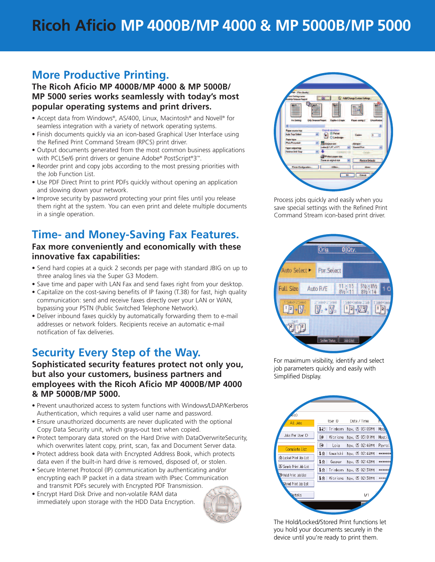# **Ricoh Aficio MP 4000B/MP 4000 & MP 5000B/MP 5000**

## **More Productive Printing.**

**The Ricoh Aficio MP 4000B/MP 4000 & MP 5000B/ MP 5000 series works seamlessly with today's most popular operating systems and print drivers.** 

- Accept data from Windows®, AS/400, Linux, Macintosh® and Novell® for seamless integration with a variety of network operating systems.
- Finish documents quickly via an icon-based Graphical User Interface using the Refined Print Command Stream (RPCS) print driver.
- Output documents generated from the most common business applications with PCL5e/6 print drivers or genuine Adobe® PostScript®3™.
- Reorder print and copy jobs according to the most pressing priorities with the Job Function List.
- Use PDF Direct Print to print PDFs quickly without opening an application and slowing down your network.
- Improve security by password protecting your print files until you release them right at the system. You can even print and delete multiple documents in a single operation.

## **Time- and Money-Saving Fax Features.**

#### **Fax more conveniently and economically with these innovative fax capabilities:**

- Send hard copies at a quick 2 seconds per page with standard JBIG on up to three analog lines via the Super G3 Modem.
- Save time and paper with LAN Fax and send faxes right from your desktop.
- Capitalize on the cost-saving benefits of IP faxing (T.38) for fast, high quality communication: send and receive faxes directly over your LAN or WAN, bypassing your PSTN (Public Switched Telephone Network).
- Deliver inbound faxes quickly by automatically forwarding them to e-mail addresses or network folders. Recipients receive an automatic e-mail notification of fax deliveries.

## **Security Every Step of the Way.**

**Sophisticated security features protect not only you, but also your customers, business partners and employees with the Ricoh Aficio MP 4000B/MP 4000 & MP 5000B/MP 5000.**

- Prevent unauthorized access to system functions with Windows/LDAP/Kerberos Authentication, which requires a valid user name and password.
- Ensure unauthorized documents are never duplicated with the optional Copy Data Security unit, which grays-out text when copied.
- Protect temporary data stored on the Hard Drive with DataOverwriteSecurity, which overwrites latent copy, print, scan, fax and Document Server data.
- Protect address book data with Encrypted Address Book, which protects data even if the built-in hard drive is removed, disposed of, or stolen.
- Secure Internet Protocol (IP) communication by authenticating and/or encrypting each IP packet in a data stream with IPsec Communication and transmit PDFs securely with Encrypted PDF Transmission.
- Encrypt Hard Disk Drive and non-volatile RAM data immediately upon storage with the HDD Data Encryption.





Process jobs quickly and easily when you save special settings with the Refined Print Command Stream icon-based print driver.



For maximum visibility, identify and select job parameters quickly and easily with Simplified Display.



The Hold/Locked/Stored Print functions let you hold your documents securely in the device until you're ready to print them.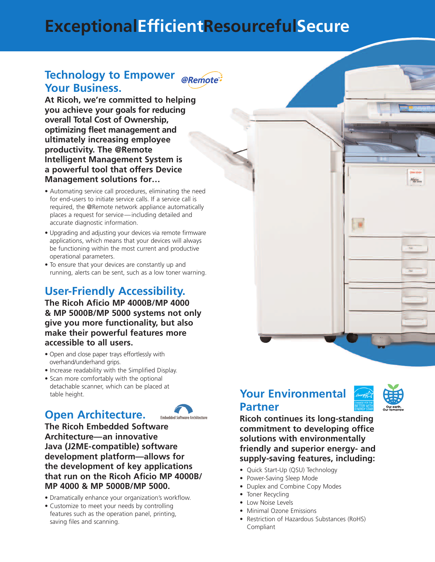# **ExceptionalEfficientResourcefulSecure**

#### **Technology to Empower @Remote Your Business.**

**At Ricoh, we're committed to helping you achieve your goals for reducing overall Total Cost of Ownership, optimizing fleet management and ultimately increasing employee productivity. The @Remote Intelligent Management System is a powerful tool that offers Device Management solutions for…**

- Automating service call procedures, eliminating the need for end-users to initiate service calls. If a service call is required, the @Remote network appliance automatically places a request for service—including detailed and accurate diagnostic information.
- Upgrading and adjusting your devices via remote firmware applications, which means that your devices will always be functioning within the most current and productive operational parameters.
- To ensure that your devices are constantly up and running, alerts can be sent, such as a low toner warning.

# **User-Friendly Accessibility.**

**The Ricoh Aficio MP 4000B/MP 4000 & MP 5000B/MP 5000 systems not only give you more functionality, but also make their powerful features more accessible to all users.** 

- Open and close paper trays effortlessly with overhand/underhand grips.
- Increase readability with the Simplified Display.
- Scan more comfortably with the optional detachable scanner, which can be placed at table height.

# **Open Architecture.**



**The Ricoh Embedded Software Architecture—an innovative Java (J2ME-compatible) software development platform—allows for the development of key applications that run on the Ricoh Aficio MP 4000B/ MP 4000 & MP 5000B/MP 5000.** 

- Dramatically enhance your organization's workflow.
- Customize to meet your needs by controlling features such as the operation panel, printing, saving files and scanning.

# **Your Environmental Partner**



厦

Alicio

**Ricoh continues its long-standing commitment to developing office solutions with environmentally friendly and superior energy- and supply-saving features, including:** 

- Quick Start-Up (QSU) Technology
- Power-Saving Sleep Mode
- Duplex and Combine Copy Modes
- Toner Recycling
- Low Noise Levels
- Minimal Ozone Emissions
- Restriction of Hazardous Substances (RoHS) Compliant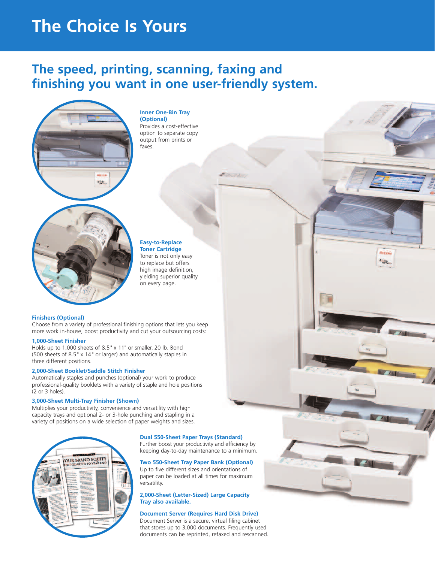# **The Choice Is Yours**

# **The speed, printing, scanning, faxing and finishing you want in one user-friendly system.**



#### **Inner One-Bin Tray (Optional)**

Provides a cost-effective option to separate copy output from prints or faxes.

#### **Easy-to-Replace Toner Cartridge**

Toner is not only easy to replace but offers high image definition, yielding superior quality on every page.

RIDOA Aficio

#### **Finishers (Optional)**

Choose from a variety of professional finishing options that lets you keep more work in-house, boost productivity and cut your outsourcing costs:

#### **1,000-Sheet Finisher**

Holds up to 1,000 sheets of 8.5" x 11" or smaller, 20 lb. Bond (500 sheets of 8.5" x 14" or larger) and automatically staples in three different positions.

#### **2,000-Sheet Booklet/Saddle Stitch Finisher**

Automatically staples and punches (optional) your work to produce professional-quality booklets with a variety of staple and hole positions (2 or 3 holes).

#### **3,000-Sheet Multi-Tray Finisher (Shown)**

Multiplies your productivity, convenience and versatility with high capacity trays and optional 2- or 3-hole punching and stapling in a variety of positions on a wide selection of paper weights and sizes.



#### **Dual 550-Sheet Paper Trays (Standard)**

Further boost your productivity and efficiency by keeping day-to-day maintenance to a minimum.

#### **Two 550-Sheet Tray Paper Bank (Optional)**

Up to five different sizes and orientations of paper can be loaded at all times for maximum versatility.

#### **2,000-Sheet (Letter-Sized) Large Capacity Tray also available.**

#### **Document Server (Requires Hard Disk Drive)**

Document Server is a secure, virtual filing cabinet that stores up to 3,000 documents. Frequently used documents can be reprinted, refaxed and rescanned.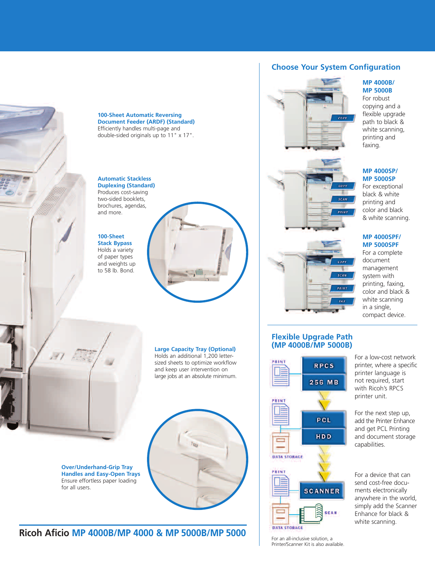

**100-Sheet Automatic Reversing Document Feeder (ARDF) (Standard)** Efficiently handles multi-page and double-sided originals up to 11" x 17".

#### **Automatic Stackless Duplexing (Standard)** Produces cost-saving

two-sided booklets, brochures, agendas, and more.

#### **100-Sheet Stack Bypass** Holds a variety of paper types and weights up to 58 lb. Bond.





**Over/Underhand-Grip Tray Handles and Easy-Open Trays**  Ensure effortless paper loading for all users.

**Large Capacity Tray (Optional)** Holds an additional 1,200 letter-

sized sheets to optimize workflow and keep user intervention on large jobs at an absolute minimum.



### **Ricoh Aficio MP 4000B/MP 4000 & MP 5000B/MP 5000**

#### **Choose Your System Configuration**

# $COP$





#### **Flexible Upgrade Path (MP 4000B/MP 5000B)**



For an all-inclusive solution, a Printer/Scanner Kit is also available.

#### **MP 4000B/ MP 5000B**

For robust copying and a flexible upgrade path to black & white scanning, printing and faxing.

#### **MP 4000SP/ MP 5000SP**

For exceptional black & white printing and color and black & white scanning.

#### **MP 4000SPF/ MP 5000SPF**

For a complete document management system with printing, faxing, color and black & white scanning in a single, compact device.

For a low-cost network printer, where a specific printer language is not required, start with Ricoh's RPCS printer unit.

For the next step up, add the Printer Enhance and get PCL Printing and document storage capabilities.

For a device that can send cost-free documents electronically anywhere in the world, simply add the Scanner Enhance for black & white scanning.